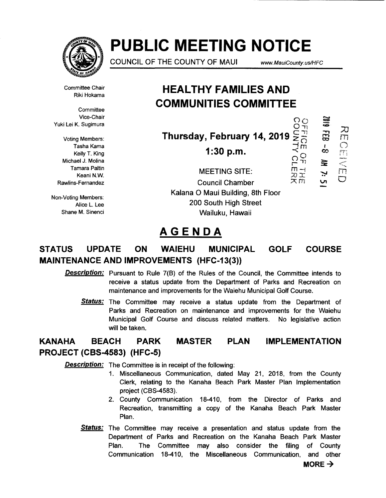

# **PUBLIC MEETING NOTICE**

COUNCIL OF THE COUNTY OF MAUl www. MauiCounfy. us/HFC

 $\overline{\circ}$ 

m *()'*  r ,i

 $\frac{1}{2}$ <br> $\frac{1}{2}$ 

O-n

;u m<br>O

610Z

ွှ

 $\tilde{\mathbf{z}}$ 

rn  $\overline{\mathbb{C}}$ 

Committee Chair Riki Hokama

**Committee** Vice-Chair Yuki Lei K. Sugimura

Voting Members: Tasha Kama Kelly T. King Michael J. Molina Tamara Paltin Keani N.W. Rawlins-Fernandez

Non-Voting Members: Alice L. Lee Shane M. Sinenci

## **HEAL THY FAMILIES AND COMMUNITIES COMMITTEE**

**Thursday, February 14, 2019**  $\leq \frac{11}{10}$ 

**1:30 p.m.**  $\leq$ 

MEETING SITE: Council Chamber Kalana 0 Maui Building, 8th Floor 200 South High Street Wailuku, Hawaii

## **AGENDA**

## **STATUS UPDATE ON WAIEHU MUNICIPAL GOLF COURSE MAINTENANCE AND IMPROVEMENTS (HFC-13(3))**

**Description:** Pursuant to Rule 7(B) of the Rules of the Council, the Committee intends to receive a status update from the Department of Parks and Recreation on maintenance and improvements for the Waiehu Municipal Golf Course.

**Status:** The Committee may receive a status update from the Department of Parks and Recreation on maintenance and improvements for the Waiehu Municipal Golf Course and discuss related matters. No legislative action will be taken.

#### **KANAHA BEACH PARK PROJECT (CBS-4583) (HFC-5) MASTER PLAN IMPLEMENTATION**

**Description:** The Committee is in receipt of the following:

- 1. Miscellaneous Communication, dated May 21, 2018, from the County Clerk, relating to the Kanaha Beach Park Master Plan Implementation project (CBS-4583).
- 2. County Communication 18-410, from the Director of Parks and Recreation, transmitting a copy of the Kanaha Beach Park Master Plan.
- **Status:** The Committee may receive a presentation and status update from the Department of Parks and Recreation on the Kanaha Beach Park Master Plan. The Committee may also consider the filing of County Communication 18-410, the Miscellaneous Communication, and other